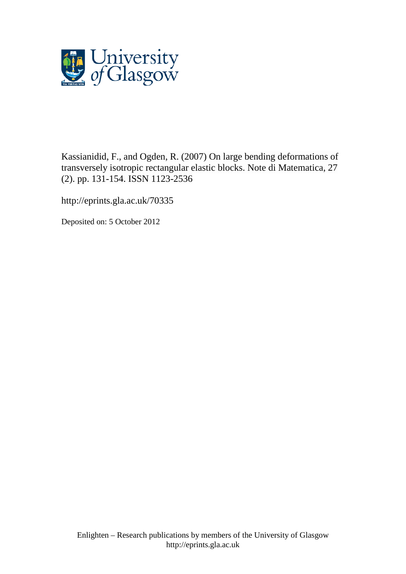

Kassianidid, F., and Ogden, R. (2007) On large bending deformations of transversely isotropic rectangular elastic blocks. Note di Matematica, 27 (2). pp. 131-154. ISSN 1123-2536

http://eprints.gla.ac.uk/70335

Deposited on: 5 October 2012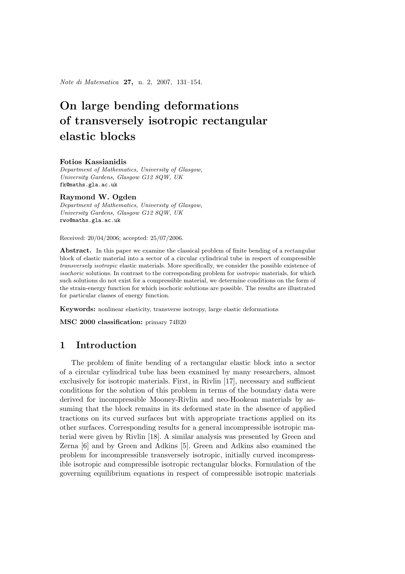Note di Matematica 27, n. 2, 2007, 131–154.

# On large bending deformations of transversely isotropic rectangular elastic blocks

#### Fotios Kassianidis

Department of Mathematics, University of Glasgow, University Gardens, Glasgow G12 8QW, UK fk@maths.gla.ac.uk

#### Raymond W. Ogden

Department of Mathematics, University of Glasgow, University Gardens, Glasgow G12 8QW, UK rwo@maths.gla.ac.uk

Received: 20/04/2006; accepted: 25/07/2006.

Abstract. In this paper we examine the classical problem of finite bending of a rectangular block of elastic material into a sector of a circular cylindrical tube in respect of compressible transversely isotropic elastic materials. More specifically, we consider the possible existence of isochoric solutions. In contrast to the corresponding problem for *isotropic* materials, for which such solutions do not exist for a compressible material, we determine conditions on the form of the strain-energy function for which isochoric solutions are possible. The results are illustrated for particular classes of energy function.

Keywords: nonlinear elasticity, transverse isotropy, large elastic deformations

MSC 2000 classification: primary 74B20

## 1 Introduction

The problem of finite bending of a rectangular elastic block into a sector of a circular cylindrical tube has been examined by many researchers, almost exclusively for isotropic materials. First, in Rivlin [17], necessary and sufficient conditions for the solution of this problem in terms of the boundary data were derived for incompressible Mooney-Rivlin and neo-Hookean materials by assuming that the block remains in its deformed state in the absence of applied tractions on its curved surfaces but with appropriate tractions applied on its other surfaces. Corresponding results for a general incompressible isotropic material were given by Rivlin [18]. A similar analysis was presented by Green and Zerna [6] and by Green and Adkins [5]. Green and Adkins also examined the problem for incompressible transversely isotropic, initially curved incompressible isotropic and compressible isotropic rectangular blocks. Formulation of the governing equilibrium equations in respect of compressible isotropic materials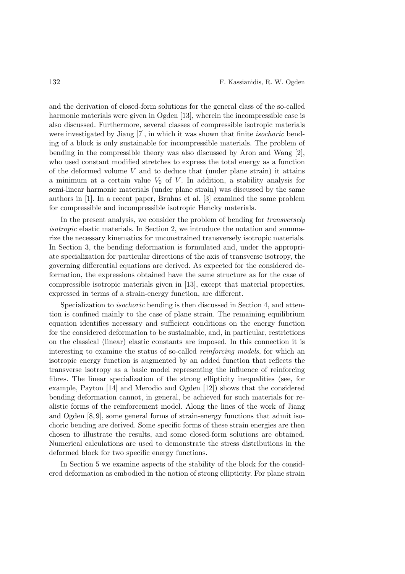and the derivation of closed-form solutions for the general class of the so-called harmonic materials were given in Ogden [13], wherein the incompressible case is also discussed. Furthermore, several classes of compressible isotropic materials were investigated by Jiang [7], in which it was shown that finite isochoric bending of a block is only sustainable for incompressible materials. The problem of bending in the compressible theory was also discussed by Aron and Wang [2], who used constant modified stretches to express the total energy as a function of the deformed volume  $V$  and to deduce that (under plane strain) it attains a minimum at a certain value  $V_0$  of V. In addition, a stability analysis for semi-linear harmonic materials (under plane strain) was discussed by the same authors in [1]. In a recent paper, Bruhns et al. [3] examined the same problem for compressible and incompressible isotropic Hencky materials.

In the present analysis, we consider the problem of bending for *transversely* isotropic elastic materials. In Section 2, we introduce the notation and summarize the necessary kinematics for unconstrained transversely isotropic materials. In Section 3, the bending deformation is formulated and, under the appropriate specialization for particular directions of the axis of transverse isotropy, the governing differential equations are derived. As expected for the considered deformation, the expressions obtained have the same structure as for the case of compressible isotropic materials given in [13], except that material properties, expressed in terms of a strain-energy function, are different.

Specialization to isochoric bending is then discussed in Section 4, and attention is confined mainly to the case of plane strain. The remaining equilibrium equation identifies necessary and sufficient conditions on the energy function for the considered deformation to be sustainable, and, in particular, restrictions on the classical (linear) elastic constants are imposed. In this connection it is interesting to examine the status of so-called reinforcing models, for which an isotropic energy function is augmented by an added function that reflects the transverse isotropy as a basic model representing the influence of reinforcing fibres. The linear specialization of the strong ellipticity inequalities (see, for example, Payton [14] and Merodio and Ogden [12]) shows that the considered bending deformation cannot, in general, be achieved for such materials for realistic forms of the reinforcement model. Along the lines of the work of Jiang and Ogden [8, 9], some general forms of strain-energy functions that admit isochoric bending are derived. Some specific forms of these strain energies are then chosen to illustrate the results, and some closed-form solutions are obtained. Numerical calculations are used to demonstrate the stress distributions in the deformed block for two specific energy functions.

In Section 5 we examine aspects of the stability of the block for the considered deformation as embodied in the notion of strong ellipticity. For plane strain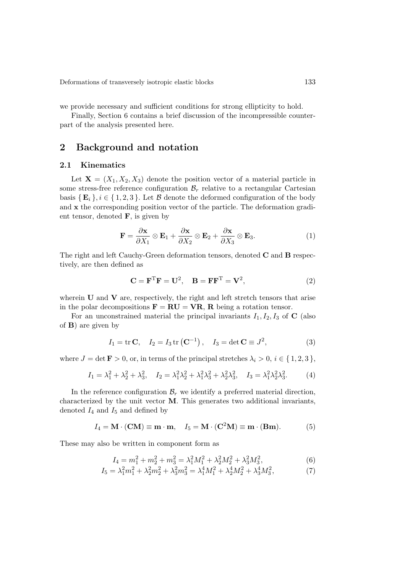we provide necessary and sufficient conditions for strong ellipticity to hold.

Finally, Section 6 contains a brief discussion of the incompressible counterpart of the analysis presented here.

# 2 Background and notation

#### 2.1 Kinematics

Let  $X = (X_1, X_2, X_3)$  denote the position vector of a material particle in some stress-free reference configuration  $\mathcal{B}_r$  relative to a rectangular Cartesian basis  $\{E_i\}, i \in \{1, 2, 3\}$ . Let B denote the deformed configuration of the body and x the corresponding position vector of the particle. The deformation gradient tensor, denoted  $\mathbf{F}$ , is given by

$$
\mathbf{F} = \frac{\partial \mathbf{x}}{\partial X_1} \otimes \mathbf{E}_1 + \frac{\partial \mathbf{x}}{\partial X_2} \otimes \mathbf{E}_2 + \frac{\partial \mathbf{x}}{\partial X_3} \otimes \mathbf{E}_3.
$$
 (1)

The right and left Cauchy-Green deformation tensors, denoted  $C$  and  $B$  respectively, are then defined as

$$
\mathbf{C} = \mathbf{F}^{\mathrm{T}} \mathbf{F} = \mathbf{U}^2, \quad \mathbf{B} = \mathbf{F} \mathbf{F}^{\mathrm{T}} = \mathbf{V}^2,\tag{2}
$$

wherein  **and**  $**V**$  **are, respectively, the right and left stretch tensors that arise** in the polar decompositions  $\mathbf{F} = \mathbf{RU} = \mathbf{VR}$ , R being a rotation tensor.

For an unconstrained material the principal invariants  $I_1, I_2, I_3$  of C (also of B) are given by

$$
I_1 = \text{tr }\mathbf{C}, \quad I_2 = I_3 \text{ tr }(\mathbf{C}^{-1}), \quad I_3 = \text{det }\mathbf{C} \equiv J^2,
$$
 (3)

where  $J = \det \mathbf{F} > 0$ , or, in terms of the principal stretches  $\lambda_i > 0$ ,  $i \in \{1, 2, 3\}$ ,

$$
I_1 = \lambda_1^2 + \lambda_2^2 + \lambda_3^2, \quad I_2 = \lambda_1^2 \lambda_2^2 + \lambda_1^2 \lambda_3^2 + \lambda_2^2 \lambda_3^2, \quad I_3 = \lambda_1^2 \lambda_2^2 \lambda_3^2. \tag{4}
$$

In the reference configuration  $\mathcal{B}_r$  we identify a preferred material direction, characterized by the unit vector  $M$ . This generates two additional invariants, denoted  $I_4$  and  $I_5$  and defined by

$$
I_4 = \mathbf{M} \cdot (\mathbf{C}\mathbf{M}) \equiv \mathbf{m} \cdot \mathbf{m}, \quad I_5 = \mathbf{M} \cdot (\mathbf{C}^2 \mathbf{M}) \equiv \mathbf{m} \cdot (\mathbf{B}\mathbf{m}). \tag{5}
$$

These may also be written in component form as

$$
I_4 = m_1^2 + m_2^2 + m_3^2 = \lambda_1^2 M_1^2 + \lambda_2^2 M_2^2 + \lambda_3^2 M_3^2,
$$
\n<sup>(6)</sup>

$$
I_5 = \lambda_1^2 m_1^2 + \lambda_2^2 m_2^2 + \lambda_3^2 m_3^2 = \lambda_1^4 M_1^2 + \lambda_2^4 M_2^2 + \lambda_3^4 M_3^2,\tag{7}
$$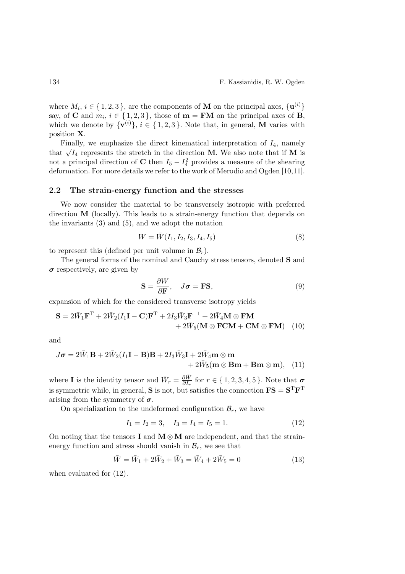where  $M_i$ ,  $i \in \{1, 2, 3\}$ , are the components of **M** on the principal axes,  $\{u^{(i)}\}$ say, of **C** and  $m_i$ ,  $i \in \{1, 2, 3\}$ , those of **m** = **FM** on the principal axes of **B**, which we denote by  $\{v^{(i)}\}, i \in \{1, 2, 3\}$ . Note that, in general, **M** varies with position X.

Finally, we emphasize the direct kinematical interpretation of  $I_4$ , namely that  $\sqrt{I_4}$  represents the stretch in the direction **M**. We also note that if **M** is not a principal direction of **C** then  $I_5 - I_4^2$  provides a measure of the shearing deformation. For more details we refer to the work of Merodio and Ogden [10,11].

### 2.2 The strain-energy function and the stresses

We now consider the material to be transversely isotropic with preferred direction M (locally). This leads to a strain-energy function that depends on the invariants (3) and (5), and we adopt the notation

$$
W = \bar{W}(I_1, I_2, I_3, I_4, I_5)
$$
\n(8)

to represent this (defined per unit volume in  $\mathcal{B}_r$ ).

The general forms of the nominal and Cauchy stress tensors, denoted S and  $\sigma$  respectively, are given by

$$
\mathbf{S} = \frac{\partial W}{\partial \mathbf{F}}, \quad J\boldsymbol{\sigma} = \mathbf{F}\mathbf{S}, \tag{9}
$$

expansion of which for the considered transverse isotropy yields

$$
\mathbf{S} = 2\bar{W}_1\mathbf{F}^{\mathrm{T}} + 2\bar{W}_2(I_1\mathbf{I} - \mathbf{C})\mathbf{F}^{\mathrm{T}} + 2I_3\bar{W}_3\mathbf{F}^{-1} + 2\bar{W}_4\mathbf{M} \otimes \mathbf{F}\mathbf{M} + 2\bar{W}_5(\mathbf{M} \otimes \mathbf{F}\mathbf{C}\mathbf{M} + \mathbf{C}\mathbf{M} \otimes \mathbf{F}\mathbf{M}) \tag{10}
$$

and

$$
J\boldsymbol{\sigma} = 2\bar{W}_1\mathbf{B} + 2\bar{W}_2(I_1\mathbf{I} - \mathbf{B})\mathbf{B} + 2I_3\bar{W}_3\mathbf{I} + 2\bar{W}_4\mathbf{m} \otimes \mathbf{m} + 2\bar{W}_5(\mathbf{m} \otimes \mathbf{B}\mathbf{m} + \mathbf{B}\mathbf{m} \otimes \mathbf{m}), \quad (11)
$$

where **I** is the identity tensor and  $\bar{W}_r = \frac{\partial \bar{W}}{\partial I_r}$  $\frac{\partial W}{\partial I_r}$  for  $r \in \{1, 2, 3, 4, 5\}$ . Note that  $\sigma$ is symmetric while, in general, **S** is not, but satisfies the connection  $\mathbf{FS} = \mathbf{S}^T \mathbf{F}^T$ arising from the symmetry of  $\sigma$ .

On specialization to the undeformed configuration  $\mathcal{B}_r$ , we have

$$
I_1 = I_2 = 3, \quad I_3 = I_4 = I_5 = 1. \tag{12}
$$

On noting that the tensors I and M⊗M are independent, and that the strainenergy function and stress should vanish in  $\mathcal{B}_r$ , we see that

$$
\bar{W} = \bar{W}_1 + 2\bar{W}_2 + \bar{W}_3 = \bar{W}_4 + 2\bar{W}_5 = 0
$$
\n(13)

when evaluated for (12).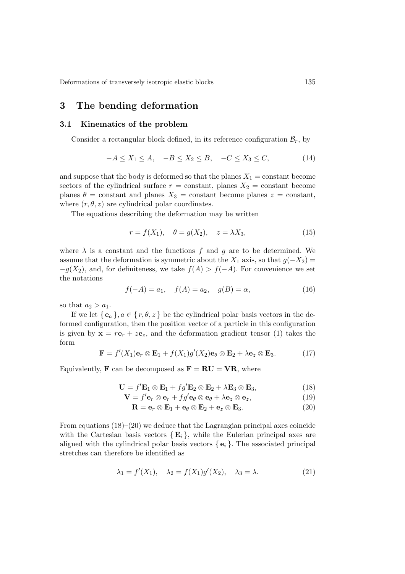## 3 The bending deformation

## 3.1 Kinematics of the problem

Consider a rectangular block defined, in its reference configuration  $\mathcal{B}_r$ , by

$$
-A \le X_1 \le A, \quad -B \le X_2 \le B, \quad -C \le X_3 \le C,\tag{14}
$$

and suppose that the body is deformed so that the planes  $X_1 = \text{constant}$  become sectors of the cylindrical surface  $r = constant$ , planes  $X_2 = constant$  become planes  $\theta$  = constant and planes  $X_3$  = constant become planes  $z$  = constant, where  $(r, \theta, z)$  are cylindrical polar coordinates.

The equations describing the deformation may be written

$$
r = f(X_1), \quad \theta = g(X_2), \quad z = \lambda X_3,\tag{15}
$$

where  $\lambda$  is a constant and the functions f and g are to be determined. We assume that the deformation is symmetric about the  $X_1$  axis, so that  $g(-X_2)$  =  $-g(X_2)$ , and, for definiteness, we take  $f(A) > f(-A)$ . For convenience we set the notations

$$
f(-A) = a_1, \quad f(A) = a_2, \quad g(B) = \alpha,
$$
 (16)

so that  $a_2 > a_1$ .

If we let  ${e_a}$ ,  $a \in {r, \theta, z}$  be the cylindrical polar basis vectors in the deformed configuration, then the position vector of a particle in this configuration is given by  $\mathbf{x} = r\mathbf{e}_r + z\mathbf{e}_z$ , and the deformation gradient tensor (1) takes the form

$$
\mathbf{F} = f'(X_1)\mathbf{e}_r \otimes \mathbf{E}_1 + f(X_1)g'(X_2)\mathbf{e}_{\theta} \otimes \mathbf{E}_2 + \lambda \mathbf{e}_z \otimes \mathbf{E}_3. \tag{17}
$$

Equivalently, **F** can be decomposed as  $\mathbf{F} = \mathbf{RU} = \mathbf{VR}$ , where

$$
\mathbf{U} = f'\mathbf{E}_1 \otimes \mathbf{E}_1 + f g'\mathbf{E}_2 \otimes \mathbf{E}_2 + \lambda \mathbf{E}_3 \otimes \mathbf{E}_3, \tag{18}
$$

$$
\mathbf{V} = f'\mathbf{e}_r \otimes \mathbf{e}_r + fg'\mathbf{e}_\theta \otimes \mathbf{e}_\theta + \lambda \mathbf{e}_z \otimes \mathbf{e}_z, \tag{19}
$$

$$
\mathbf{R} = \mathbf{e}_r \otimes \mathbf{E}_1 + \mathbf{e}_{\theta} \otimes \mathbf{E}_2 + \mathbf{e}_z \otimes \mathbf{E}_3. \tag{20}
$$

From equations  $(18)–(20)$  we deduce that the Lagrangian principal axes coincide with the Cartesian basis vectors  $\{E_i\}$ , while the Eulerian principal axes are aligned with the cylindrical polar basis vectors  ${e_i}$ . The associated principal stretches can therefore be identified as

$$
\lambda_1 = f'(X_1), \quad \lambda_2 = f(X_1)g'(X_2), \quad \lambda_3 = \lambda. \tag{21}
$$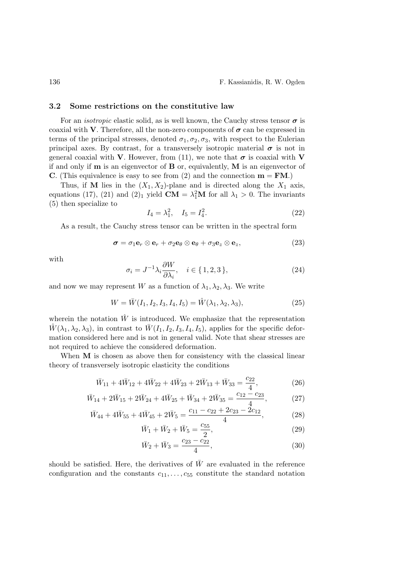#### 3.2 Some restrictions on the constitutive law

For an *isotropic* elastic solid, as is well known, the Cauchy stress tensor  $\sigma$  is coaxial with V. Therefore, all the non-zero components of  $\sigma$  can be expressed in terms of the principal stresses, denoted  $\sigma_1, \sigma_2, \sigma_3$ , with respect to the Eulerian principal axes. By contrast, for a transversely isotropic material  $\sigma$  is not in general coaxial with V. However, from (11), we note that  $\sigma$  is coaxial with V if and only if m is an eigenvector of B or, equivalently, M is an eigenvector of C. (This equivalence is easy to see from (2) and the connection  $\mathbf{m} = \mathbf{F}\mathbf{M}$ .)

Thus, if M lies in the  $(X_1, X_2)$ -plane and is directed along the  $X_1$  axis, equations (17), (21) and (2)<sub>1</sub> yield  $CM = \lambda_1^2 M$  for all  $\lambda_1 > 0$ . The invariants (5) then specialize to

$$
I_4 = \lambda_1^2, \quad I_5 = I_4^2. \tag{22}
$$

As a result, the Cauchy stress tensor can be written in the spectral form

$$
\boldsymbol{\sigma} = \sigma_1 \mathbf{e}_r \otimes \mathbf{e}_r + \sigma_2 \mathbf{e}_\theta \otimes \mathbf{e}_\theta + \sigma_3 \mathbf{e}_z \otimes \mathbf{e}_z, \qquad (23)
$$

with

$$
\sigma_i = J^{-1} \lambda_i \frac{\partial W}{\partial \lambda_i}, \quad i \in \{1, 2, 3\},\tag{24}
$$

and now we may represent W as a function of  $\lambda_1, \lambda_2, \lambda_3$ . We write

$$
W = \bar{W}(I_1, I_2, I_3, I_4, I_5) = \hat{W}(\lambda_1, \lambda_2, \lambda_3), \tag{25}
$$

wherein the notation  $\hat{W}$  is introduced. We emphasize that the representation  $\hat{W}(\lambda_1, \lambda_2, \lambda_3)$ , in contrast to  $\bar{W}(I_1, I_2, I_3, I_4, I_5)$ , applies for the specific deformation considered here and is not in general valid. Note that shear stresses are not required to achieve the considered deformation.

When M is chosen as above then for consistency with the classical linear theory of transversely isotropic elasticity the conditions

$$
\bar{W}_{11} + 4\bar{W}_{12} + 4\bar{W}_{22} + 4\bar{W}_{23} + 2\bar{W}_{13} + \bar{W}_{33} = \frac{c_{22}}{4},\tag{26}
$$

$$
\bar{W}_{14} + 2\bar{W}_{15} + 2\bar{W}_{24} + 4\bar{W}_{25} + \bar{W}_{34} + 2\bar{W}_{35} = \frac{c_{12} - c_{23}}{4},\tag{27}
$$

$$
\bar{W}_{44} + 4\bar{W}_{55} + 4\bar{W}_{45} + 2\bar{W}_{5} = \frac{c_{11} - c_{22} + 2c_{23} - 2c_{12}}{4},\tag{28}
$$

$$
\bar{W}_1 + \bar{W}_2 + \bar{W}_5 = \frac{c_{55}}{2},\tag{29}
$$

$$
\bar{W}_2 + \bar{W}_3 = \frac{c_{23} - c_{22}}{4},\tag{30}
$$

should be satisfied. Here, the derivatives of  $\bar{W}$  are evaluated in the reference configuration and the constants  $c_{11}, \ldots, c_{55}$  constitute the standard notation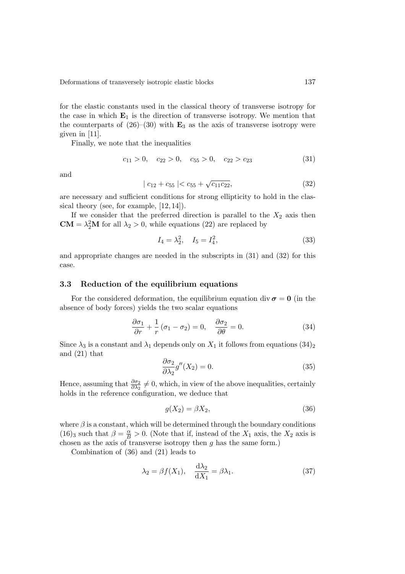for the elastic constants used in the classical theory of transverse isotropy for the case in which  $E_1$  is the direction of transverse isotropy. We mention that the counterparts of  $(26)–(30)$  with  $\mathbf{E}_3$  as the axis of transverse isotropy were given in [11].

Finally, we note that the inequalities

$$
c_{11} > 0, \quad c_{22} > 0, \quad c_{55} > 0, \quad c_{22} > c_{23} \tag{31}
$$

and

$$
|c_{12} + c_{55}| < c_{55} + \sqrt{c_{11}c_{22}}, \tag{32}
$$

are necessary and sufficient conditions for strong ellipticity to hold in the classical theory (see, for example, [12, 14]).

If we consider that the preferred direction is parallel to the  $X_2$  axis then  $CM = \lambda_2^2 M$  for all  $\lambda_2 > 0$ , while equations (22) are replaced by

$$
I_4 = \lambda_2^2, \quad I_5 = I_4^2,\tag{33}
$$

and appropriate changes are needed in the subscripts in (31) and (32) for this case.

#### 3.3 Reduction of the equilibrium equations

For the considered deformation, the equilibrium equation div  $\sigma = 0$  (in the absence of body forces) yields the two scalar equations

$$
\frac{\partial \sigma_1}{\partial r} + \frac{1}{r} (\sigma_1 - \sigma_2) = 0, \quad \frac{\partial \sigma_2}{\partial \theta} = 0.
$$
 (34)

Since  $\lambda_3$  is a constant and  $\lambda_1$  depends only on  $X_1$  it follows from equations  $(34)_2$ and (21) that

$$
\frac{\partial \sigma_2}{\partial \lambda_2} g''(X_2) = 0. \tag{35}
$$

Hence, assuming that  $\frac{\partial \sigma_2}{\partial \lambda_2} \neq 0$ , which, in view of the above inequalities, certainly holds in the reference configuration, we deduce that

$$
g(X_2) = \beta X_2,\tag{36}
$$

where  $\beta$  is a constant, which will be determined through the boundary conditions (16)<sub>3</sub> such that  $\beta = \frac{\alpha}{B} > 0$ . (Note that if, instead of the  $X_1$  axis, the  $X_2$  axis is chosen as the axis of transverse isotropy then  $g$  has the same form.)

Combination of (36) and (21) leads to

$$
\lambda_2 = \beta f(X_1), \quad \frac{\mathrm{d}\lambda_2}{\mathrm{d}X_1} = \beta \lambda_1. \tag{37}
$$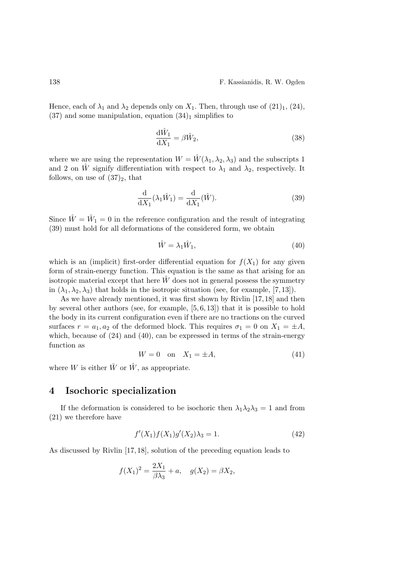Hence, each of  $\lambda_1$  and  $\lambda_2$  depends only on  $X_1$ . Then, through use of (21)<sub>1</sub>, (24),  $(37)$  and some manipulation, equation  $(34)$ <sub>1</sub> simplifies to

$$
\frac{\mathrm{d}\hat{W}_1}{\mathrm{d}X_1} = \beta \hat{W}_2,\tag{38}
$$

where we are using the representation  $W = \hat{W}(\lambda_1, \lambda_2, \lambda_3)$  and the subscripts 1 and 2 on  $\hat{W}$  signify differentiation with respect to  $\lambda_1$  and  $\lambda_2$ , respectively. It follows, on use of  $(37)_2$ , that

$$
\frac{\mathrm{d}}{\mathrm{d}X_1}(\lambda_1 \hat{W}_1) = \frac{\mathrm{d}}{\mathrm{d}X_1}(\hat{W}).\tag{39}
$$

Since  $\hat{W} = \hat{W}_1 = 0$  in the reference configuration and the result of integrating (39) must hold for all deformations of the considered form, we obtain

$$
\hat{W} = \lambda_1 \hat{W}_1,\tag{40}
$$

which is an (implicit) first-order differential equation for  $f(X_1)$  for any given form of strain-energy function. This equation is the same as that arising for an isotropic material except that here  $\hat{W}$  does not in general possess the symmetry in  $(\lambda_1, \lambda_2, \lambda_3)$  that holds in the isotropic situation (see, for example, [7, 13]).

As we have already mentioned, it was first shown by Rivlin [17,18] and then by several other authors (see, for example, [5, 6, 13]) that it is possible to hold the body in its current configuration even if there are no tractions on the curved surfaces  $r = a_1, a_2$  of the deformed block. This requires  $\sigma_1 = 0$  on  $X_1 = \pm A$ , which, because of (24) and (40), can be expressed in terms of the strain-energy function as

$$
W = 0 \quad \text{on} \quad X_1 = \pm A,\tag{41}
$$

where W is either  $\bar{W}$  or  $\hat{W}$ , as appropriate.

# 4 Isochoric specialization

If the deformation is considered to be isochoric then  $\lambda_1 \lambda_2 \lambda_3 = 1$  and from (21) we therefore have

$$
f'(X_1)f(X_1)g'(X_2)\lambda_3 = 1.
$$
\n(42)

As discussed by Rivlin [17, 18], solution of the preceding equation leads to

$$
f(X_1)^2 = \frac{2X_1}{\beta \lambda_3} + a, \quad g(X_2) = \beta X_2,
$$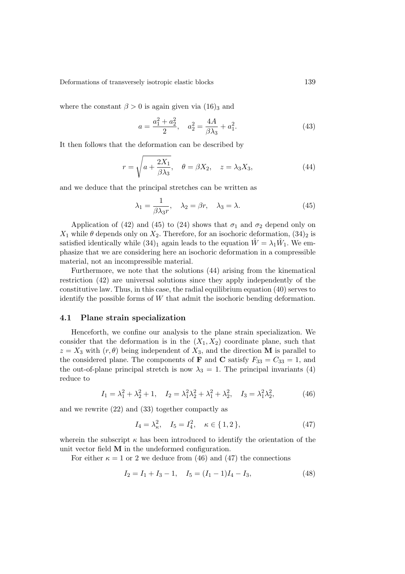where the constant  $\beta > 0$  is again given via  $(16)_3$  and

$$
a = \frac{a_1^2 + a_2^2}{2}, \quad a_2^2 = \frac{4A}{\beta \lambda_3} + a_1^2. \tag{43}
$$

It then follows that the deformation can be described by

$$
r = \sqrt{a + \frac{2X_1}{\beta \lambda_3}}, \quad \theta = \beta X_2, \quad z = \lambda_3 X_3,
$$
\n(44)

and we deduce that the principal stretches can be written as

$$
\lambda_1 = \frac{1}{\beta \lambda_3 r}, \quad \lambda_2 = \beta r, \quad \lambda_3 = \lambda. \tag{45}
$$

Application of (42) and (45) to (24) shows that  $\sigma_1$  and  $\sigma_2$  depend only on  $X_1$  while  $\theta$  depends only on  $X_2$ . Therefore, for an isochoric deformation,  $(34)_2$  is satisfied identically while  $(34)_1$  again leads to the equation  $\hat{W} = \lambda_1 \hat{W}_1$ . We emphasize that we are considering here an isochoric deformation in a compressible material, not an incompressible material.

Furthermore, we note that the solutions (44) arising from the kinematical restriction (42) are universal solutions since they apply independently of the constitutive law. Thus, in this case, the radial equilibrium equation (40) serves to identify the possible forms of  $W$  that admit the isochoric bending deformation.

#### 4.1 Plane strain specialization

Henceforth, we confine our analysis to the plane strain specialization. We consider that the deformation is in the  $(X_1, X_2)$  coordinate plane, such that  $z = X_3$  with  $(r, \theta)$  being independent of  $X_3$ , and the direction **M** is parallel to the considered plane. The components of **F** and **C** satisfy  $F_{33} = C_{33} = 1$ , and the out-of-plane principal stretch is now  $\lambda_3 = 1$ . The principal invariants (4) reduce to

$$
I_1 = \lambda_1^2 + \lambda_2^2 + 1, \quad I_2 = \lambda_1^2 \lambda_2^2 + \lambda_1^2 + \lambda_2^2, \quad I_3 = \lambda_1^2 \lambda_2^2,\tag{46}
$$

and we rewrite (22) and (33) together compactly as

$$
I_4 = \lambda_\kappa^2, \quad I_5 = I_4^2, \quad \kappa \in \{1, 2\},\tag{47}
$$

wherein the subscript  $\kappa$  has been introduced to identify the orientation of the unit vector field M in the undeformed configuration.

For either  $\kappa = 1$  or 2 we deduce from (46) and (47) the connections

$$
I_2 = I_1 + I_3 - 1, \quad I_5 = (I_1 - 1)I_4 - I_3,\tag{48}
$$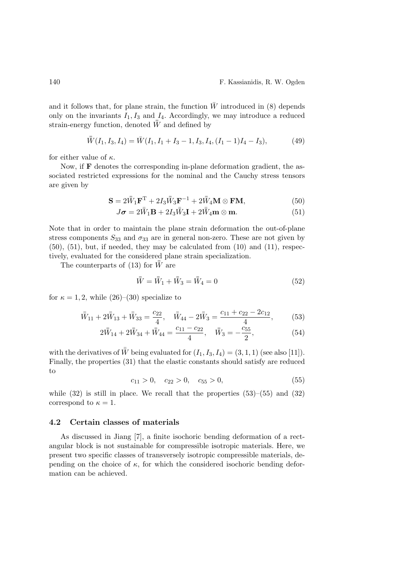and it follows that, for plane strain, the function  $\bar{W}$  introduced in (8) depends only on the invariants  $I_1, I_3$  and  $I_4$ . Accordingly, we may introduce a reduced strain-energy function, denoted  $\bar{\bar{W}}$  and defined by

$$
\bar{W}(I_1, I_3, I_4) = \bar{W}(I_1, I_1 + I_3 - 1, I_3, I_4, (I_1 - 1)I_4 - I_3),
$$
\n(49)

for either value of  $\kappa$ .

Now, if  **denotes the corresponding in-plane deformation gradient, the as**sociated restricted expressions for the nominal and the Cauchy stress tensors are given by

$$
\mathbf{S} = 2\bar{W}_1\mathbf{F}^{\mathrm{T}} + 2I_3\bar{W}_3\mathbf{F}^{-1} + 2\bar{W}_4\mathbf{M} \otimes \mathbf{F}\mathbf{M},\tag{50}
$$

$$
J\boldsymbol{\sigma} = 2\bar{W}_1 \mathbf{B} + 2I_3 \bar{W}_3 \mathbf{I} + 2\bar{W}_4 \mathbf{m} \otimes \mathbf{m}.
$$
 (51)

Note that in order to maintain the plane strain deformation the out-of-plane stress components  $S_{33}$  and  $\sigma_{33}$  are in general non-zero. These are not given by (50), (51), but, if needed, they may be calculated from (10) and (11), respectively, evaluated for the considered plane strain specialization.

The counterparts of (13) for  $\bar{W}$  are

$$
\bar{\bar{W}} = \bar{\bar{W}}_1 + \bar{\bar{W}}_3 = \bar{\bar{W}}_4 = 0 \tag{52}
$$

for  $\kappa = 1, 2$ , while  $(26)$ – $(30)$  specialize to

$$
\bar{\bar{W}}_{11} + 2\bar{\bar{W}}_{13} + \bar{\bar{W}}_{33} = \frac{c_{22}}{4}, \quad \bar{\bar{W}}_{44} - 2\bar{\bar{W}}_{3} = \frac{c_{11} + c_{22} - 2c_{12}}{4},\tag{53}
$$

$$
2\bar{\bar{W}}_{14} + 2\bar{\bar{W}}_{34} + \bar{\bar{W}}_{44} = \frac{c_{11} - c_{22}}{4}, \quad \bar{\bar{W}}_{3} = -\frac{c_{55}}{2},\tag{54}
$$

with the derivatives of  $\bar{W}$  being evaluated for  $(I_1, I_3, I_4) = (3, 1, 1)$  (see also [11]). Finally, the properties (31) that the elastic constants should satisfy are reduced to

$$
c_{11} > 0, \quad c_{22} > 0, \quad c_{55} > 0,\tag{55}
$$

while  $(32)$  is still in place. We recall that the properties  $(53)$ – $(55)$  and  $(32)$ correspond to  $\kappa = 1$ .

#### 4.2 Certain classes of materials

As discussed in Jiang [7], a finite isochoric bending deformation of a rectangular block is not sustainable for compressible isotropic materials. Here, we present two specific classes of transversely isotropic compressible materials, depending on the choice of  $\kappa$ , for which the considered isochoric bending deformation can be achieved.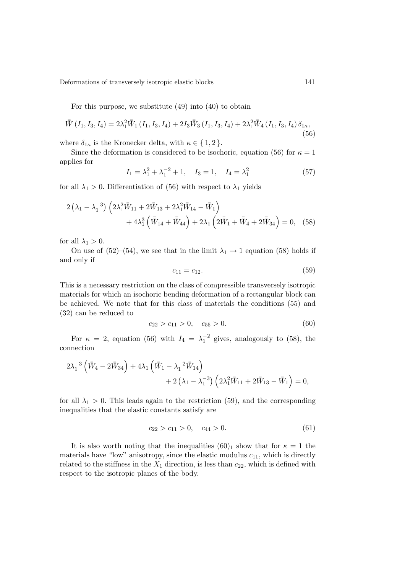For this purpose, we substitute (49) into (40) to obtain

$$
\bar{\bar{W}}(I_1, I_3, I_4) = 2\lambda_1^2 \bar{\bar{W}}_1(I_1, I_3, I_4) + 2I_3 \bar{\bar{W}}_3(I_1, I_3, I_4) + 2\lambda_1^2 \bar{\bar{W}}_4(I_1, I_3, I_4) \delta_{1\kappa},
$$
\n(56)

where  $\delta_{1\kappa}$  is the Kronecker delta, with  $\kappa \in \{1,2\}$ .

Since the deformation is considered to be isochoric, equation (56) for  $\kappa = 1$ applies for

$$
I_1 = \lambda_1^2 + \lambda_1^{-2} + 1, \quad I_3 = 1, \quad I_4 = \lambda_1^2 \tag{57}
$$

for all  $\lambda_1 > 0$ . Differentiation of (56) with respect to  $\lambda_1$  yields

$$
2\left(\lambda_{1} - \lambda_{1}^{-3}\right)\left(2\lambda_{1}^{2}\bar{\bar{W}}_{11} + 2\bar{\bar{W}}_{13} + 2\lambda_{1}^{2}\bar{\bar{W}}_{14} - \bar{\bar{W}}_{1}\right) + 4\lambda_{1}^{3}\left(\bar{\bar{W}}_{14} + \bar{\bar{W}}_{44}\right) + 2\lambda_{1}\left(2\bar{\bar{W}}_{1} + \bar{\bar{W}}_{4} + 2\bar{\bar{W}}_{34}\right) = 0, (58)
$$

for all  $\lambda_1 > 0$ .

On use of (52)–(54), we see that in the limit  $\lambda_1 \rightarrow 1$  equation (58) holds if and only if

$$
c_{11} = c_{12}.\tag{59}
$$

This is a necessary restriction on the class of compressible transversely isotropic materials for which an isochoric bending deformation of a rectangular block can be achieved. We note that for this class of materials the conditions (55) and (32) can be reduced to

$$
c_{22} > c_{11} > 0, \quad c_{55} > 0. \tag{60}
$$

For  $\kappa = 2$ , equation (56) with  $I_4 = \lambda_1^{-2}$  gives, analogously to (58), the connection

$$
\begin{aligned} 2 \lambda_1^{-3} \left( \bar{\bar{W}}_4 - 2 \bar{\bar{W}}_{34} \right) + 4 \lambda_1 \left( \bar{\bar{W}}_1 - \lambda_1^{-2} \bar{\bar{W}}_{14} \right) \\ + 2 \left( \lambda_1 - \lambda_1^{-3} \right) \left( 2 \lambda_1^2 \bar{\bar{W}}_{11} + 2 \bar{\bar{W}}_{13} - \bar{\bar{W}}_1 \right) = 0, \end{aligned}
$$

for all  $\lambda_1 > 0$ . This leads again to the restriction (59), and the corresponding inequalities that the elastic constants satisfy are

$$
c_{22} > c_{11} > 0, \quad c_{44} > 0. \tag{61}
$$

It is also worth noting that the inequalities  $(60)_1$  show that for  $\kappa = 1$  the materials have "low" anisotropy, since the elastic modulus  $c_{11}$ , which is directly related to the stiffness in the  $X_1$  direction, is less than  $c_{22}$ , which is defined with respect to the isotropic planes of the body.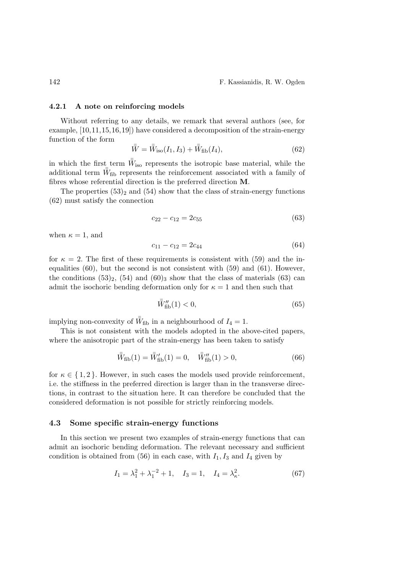#### 4.2.1 A note on reinforcing models

Without referring to any details, we remark that several authors (see, for example, [10,11,15,16,19]) have considered a decomposition of the strain-energy function of the form

$$
\bar{\bar{W}} = \bar{\bar{W}}_{\text{iso}}(I_1, I_3) + \bar{\bar{W}}_{\text{fib}}(I_4),\tag{62}
$$

in which the first term  $\bar{W}_{\text{iso}}$  represents the isotropic base material, while the additional term  $\bar{W}_{\text{fib}}$  represents the reinforcement associated with a family of fibres whose referential direction is the preferred direction M.

The properties  $(53)$ <sub>2</sub> and  $(54)$  show that the class of strain-energy functions (62) must satisfy the connection

$$
c_{22} - c_{12} = 2c_{55} \tag{63}
$$

when  $\kappa = 1$ , and

$$
c_{11} - c_{12} = 2c_{44} \tag{64}
$$

for  $\kappa = 2$ . The first of these requirements is consistent with (59) and the inequalities  $(60)$ , but the second is not consistent with  $(59)$  and  $(61)$ . However, the conditions  $(53)_2$ ,  $(54)$  and  $(60)_3$  show that the class of materials  $(63)$  can admit the isochoric bending deformation only for  $\kappa = 1$  and then such that

$$
\bar{W}_{\text{fib}}^{\prime\prime}(1) < 0,\tag{65}
$$

implying non-convexity of  $\bar{W}_{\text{fib}}$  in a neighbourhood of  $I_4 = 1$ .

This is not consistent with the models adopted in the above-cited papers, where the anisotropic part of the strain-energy has been taken to satisfy

$$
\bar{\bar{W}}_{\text{fib}}(1) = \bar{\bar{W}}'_{\text{fib}}(1) = 0, \quad \bar{\bar{W}}''_{\text{fib}}(1) > 0,
$$
\n(66)

for  $\kappa \in \{1,2\}$ . However, in such cases the models used provide reinforcement, i.e. the stiffness in the preferred direction is larger than in the transverse directions, in contrast to the situation here. It can therefore be concluded that the considered deformation is not possible for strictly reinforcing models.

#### 4.3 Some specific strain-energy functions

In this section we present two examples of strain-energy functions that can admit an isochoric bending deformation. The relevant necessary and sufficient condition is obtained from (56) in each case, with  $I_1, I_3$  and  $I_4$  given by

$$
I_1 = \lambda_1^2 + \lambda_1^{-2} + 1, \quad I_3 = 1, \quad I_4 = \lambda_6^2. \tag{67}
$$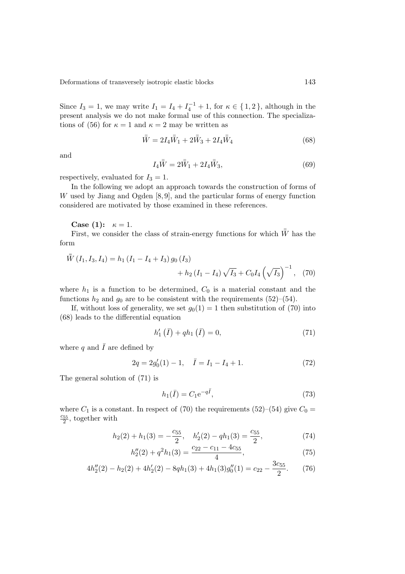Since  $I_3 = 1$ , we may write  $I_1 = I_4 + I_4^{-1} + 1$ , for  $\kappa \in \{1, 2\}$ , although in the present analysis we do not make formal use of this connection. The specializations of (56) for  $\kappa = 1$  and  $\kappa = 2$  may be written as

$$
\bar{\bar{W}} = 2I_4 \bar{\bar{W}}_1 + 2\bar{\bar{W}}_3 + 2I_4 \bar{\bar{W}}_4 \tag{68}
$$

and

$$
I_4\bar{W} = 2\bar{W}_1 + 2I_4\bar{W}_3,
$$
\n(69)

respectively, evaluated for  $I_3 = 1$ .

In the following we adopt an approach towards the construction of forms of W used by Jiang and Ogden [8,9], and the particular forms of energy function considered are motivated by those examined in these references.

Case (1):  $\kappa = 1$ .

First, we consider the class of strain-energy functions for which  $\bar{W}$  has the form

$$
\bar{W}(I_1, I_3, I_4) = h_1 (I_1 - I_4 + I_3) g_0 (I_3) + h_2 (I_1 - I_4) \sqrt{I_3} + C_0 I_4 \left(\sqrt{I_3}\right)^{-1}, (70)
$$

where  $h_1$  is a function to be determined,  $C_0$  is a material constant and the functions  $h_2$  and  $g_0$  are to be consistent with the requirements (52)–(54).

If, without loss of generality, we set  $g_0(1) = 1$  then substitution of (70) into (68) leads to the differential equation

$$
h'_{1}(\bar{I}) + qh_{1}(\bar{I}) = 0, \qquad (71)
$$

where  $q$  and  $\bar{I}$  are defined by

$$
2q = 2g'_0(1) - 1, \quad \bar{I} = I_1 - I_4 + 1. \tag{72}
$$

The general solution of (71) is

$$
h_1(\bar{I}) = C_1 e^{-q\bar{I}},\tag{73}
$$

where  $C_1$  is a constant. In respect of (70) the requirements (52)–(54) give  $C_0$  =  $\frac{c_{55}}{2}$ , together with

$$
h_2(2) + h_1(3) = -\frac{c_{55}}{2}, \quad h'_2(2) - qh_1(3) = \frac{c_{55}}{2},\tag{74}
$$

$$
h_2''(2) + q^2 h_1(3) = \frac{c_{22} - c_{11} - 4c_{55}}{4},\tag{75}
$$

$$
4h_2''(2) - h_2(2) + 4h_2'(2) - 8qh_1(3) + 4h_1(3)g_0''(1) = c_{22} - \frac{3c_{55}}{2}.
$$
 (76)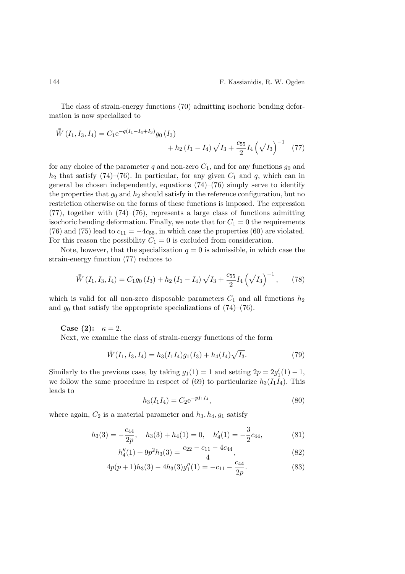The class of strain-energy functions (70) admitting isochoric bending deformation is now specialized to

$$
\bar{W}(I_1, I_3, I_4) = C_1 e^{-q(I_1 - I_4 + I_3)} g_0(I_3) + h_2 (I_1 - I_4) \sqrt{I_3} + \frac{c_{55}}{2} I_4 \left(\sqrt{I_3}\right)^{-1} (77)
$$

for any choice of the parameter q and non-zero  $C_1$ , and for any functions  $g_0$  and  $h_2$  that satisfy (74)–(76). In particular, for any given  $C_1$  and q, which can in general be chosen independently, equations  $(74)$ – $(76)$  simply serve to identify the properties that  $g_0$  and  $h_2$  should satisfy in the reference configuration, but no restriction otherwise on the forms of these functions is imposed. The expression (77), together with (74)–(76), represents a large class of functions admitting isochoric bending deformation. Finally, we note that for  $C_1 = 0$  the requirements (76) and (75) lead to  $c_{11} = -4c_{55}$ , in which case the properties (60) are violated. For this reason the possibility  $C_1 = 0$  is excluded from consideration.

Note, however, that the specialization  $q = 0$  is admissible, in which case the strain-energy function (77) reduces to

$$
\bar{\bar{W}}\left(I_1, I_3, I_4\right) = C_1 g_0\left(I_3\right) + h_2\left(I_1 - I_4\right) \sqrt{I_3} + \frac{c_{55}}{2} I_4\left(\sqrt{I_3}\right)^{-1},\tag{78}
$$

which is valid for all non-zero disposable parameters  $C_1$  and all functions  $h_2$ and  $g_0$  that satisfy the appropriate specializations of  $(74)-(76)$ .

Case (2):  $\kappa = 2$ . Next, we examine the class of strain-energy functions of the form

$$
\bar{\bar{W}}(I_1, I_3, I_4) = h_3(I_1 I_4)g_1(I_3) + h_4(I_4)\sqrt{I_3}.
$$
\n(79)

Similarly to the previous case, by taking  $g_1(1) = 1$  and setting  $2p = 2g'_1(1) - 1$ , we follow the same procedure in respect of (69) to particularize  $h_3(I_1I_4)$ . This leads to

$$
h_3(I_1I_4) = C_2 e^{-pI_1I_4},\tag{80}
$$

where again,  $C_2$  is a material parameter and  $h_3, h_4, g_1$  satisfy

$$
h_3(3) = -\frac{c_{44}}{2p}, \quad h_3(3) + h_4(1) = 0, \quad h'_4(1) = -\frac{3}{2}c_{44}, \tag{81}
$$

$$
h_4''(1) + 9p^2h_3(3) = \frac{c_{22} - c_{11} - 4c_{44}}{4},\tag{82}
$$

$$
4p(p+1)h_3(3) - 4h_3(3)g_1''(1) = -c_{11} - \frac{c_{44}}{2p}.
$$
\n(83)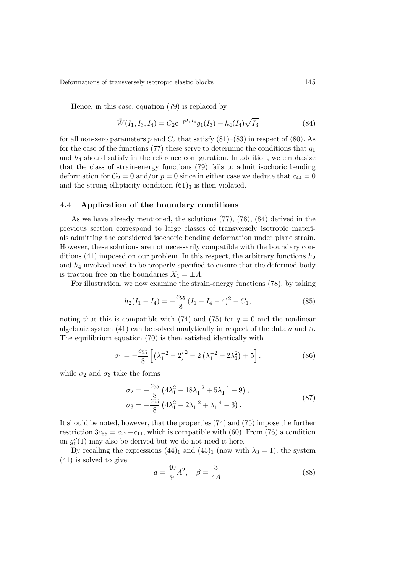Hence, in this case, equation (79) is replaced by

$$
\bar{W}(I_1, I_3, I_4) = C_2 e^{-pI_1 I_4} g_1(I_3) + h_4(I_4) \sqrt{I_3}
$$
\n(84)

for all non-zero parameters p and  $C_2$  that satisfy  $(81)$ – $(83)$  in respect of  $(80)$ . As for the case of the functions (77) these serve to determine the conditions that  $q_1$ and  $h_4$  should satisfy in the reference configuration. In addition, we emphasize that the class of strain-energy functions (79) fails to admit isochoric bending deformation for  $C_2 = 0$  and/or  $p = 0$  since in either case we deduce that  $c_{44} = 0$ and the strong ellipticity condition  $(61)_3$  is then violated.

## 4.4 Application of the boundary conditions

As we have already mentioned, the solutions (77), (78), (84) derived in the previous section correspond to large classes of transversely isotropic materials admitting the considered isochoric bending deformation under plane strain. However, these solutions are not necessarily compatible with the boundary conditions (41) imposed on our problem. In this respect, the arbitrary functions  $h_2$ and  $h_4$  involved need to be properly specified to ensure that the deformed body is traction free on the boundaries  $X_1 = \pm A$ .

For illustration, we now examine the strain-energy functions (78), by taking

$$
h_2(I_1 - I_4) = -\frac{c_{55}}{8} (I_1 - I_4 - 4)^2 - C_1,
$$
\n(85)

noting that this is compatible with (74) and (75) for  $q = 0$  and the nonlinear algebraic system (41) can be solved analytically in respect of the data a and  $\beta$ . The equilibrium equation (70) is then satisfied identically with

$$
\sigma_1 = -\frac{c_{55}}{8} \left[ \left( \lambda_1^{-2} - 2 \right)^2 - 2 \left( \lambda_1^{-2} + 2 \lambda_1^2 \right) + 5 \right],\tag{86}
$$

while  $\sigma_2$  and  $\sigma_3$  take the forms

$$
\sigma_2 = -\frac{c_{55}}{8} \left( 4\lambda_1^2 - 18\lambda_1^{-2} + 5\lambda_1^{-4} + 9 \right),
$$
  
\n
$$
\sigma_3 = -\frac{c_{55}}{8} \left( 4\lambda_1^2 - 2\lambda_1^{-2} + \lambda_1^{-4} - 3 \right).
$$
\n(87)

It should be noted, however, that the properties (74) and (75) impose the further restriction  $3c_{55} = c_{22} - c_{11}$ , which is compatible with (60). From (76) a condition on  $g''_0(1)$  may also be derived but we do not need it here.

By recalling the expressions  $(44)_1$  and  $(45)_1$  (now with  $\lambda_3 = 1$ ), the system (41) is solved to give

$$
a = \frac{40}{9}A^2, \quad \beta = \frac{3}{4A} \tag{88}
$$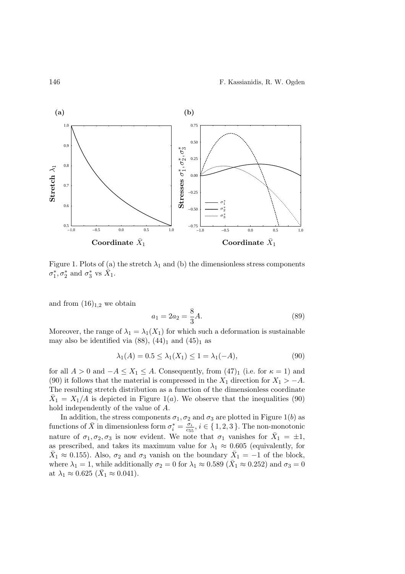#### 146 F. Kassianidis, R. W. Ogden



Figure 1. Plots of (a) the stretch  $\lambda_1$  and (b) the dimensionless stress components  $\sigma_1^*, \sigma_2^*$  and  $\sigma_3^*$  vs  $\bar{X}_1$ .

and from  $(16)_{1,2}$  we obtain

$$
a_1 = 2a_2 = \frac{8}{3}A.\t(89)
$$

Moreover, the range of  $\lambda_1 = \lambda_1(X_1)$  for which such a deformation is sustainable may also be identified via  $(88)$ ,  $(44)_1$  and  $(45)_1$  as

$$
\lambda_1(A) = 0.5 \le \lambda_1(X_1) \le 1 = \lambda_1(-A),\tag{90}
$$

for all  $A > 0$  and  $-A \leq X_1 \leq A$ . Consequently, from  $(47)_1$  (i.e. for  $\kappa = 1$ ) and (90) it follows that the material is compressed in the  $X_1$  direction for  $X_1 > -A$ . The resulting stretch distribution as a function of the dimensionless coordinate  $\bar{X}_1 = X_1/A$  is depicted in Figure 1(*a*). We observe that the inequalities (90) hold independently of the value of A.

In addition, the stress components  $\sigma_1, \sigma_2$  and  $\sigma_3$  are plotted in Figure 1(b) as functions of  $\bar{X}$  in dimensionless form  $\sigma_i^* = \frac{\sigma_i}{c_{55}}$  $\frac{\sigma_i}{c_{55}}, i \in \{1, 2, 3\}$ . The non-monotonic nature of  $\sigma_1, \sigma_2, \sigma_3$  is now evident. We note that  $\sigma_1$  vanishes for  $\bar{X}_1 = \pm 1$ , as prescribed, and takes its maximum value for  $\lambda_1 \approx 0.605$  (equivalently, for  $\bar{X}_1 \approx 0.155$ ). Also,  $\sigma_2$  and  $\sigma_3$  vanish on the boundary  $\bar{X}_1 = -1$  of the block, where  $\lambda_1 = 1$ , while additionally  $\sigma_2 = 0$  for  $\lambda_1 \approx 0.589$  ( $\bar{X}_1 \approx 0.252$ ) and  $\sigma_3 = 0$ at  $\lambda_1 \approx 0.625 \; (\bar{X}_1 \approx 0.041).$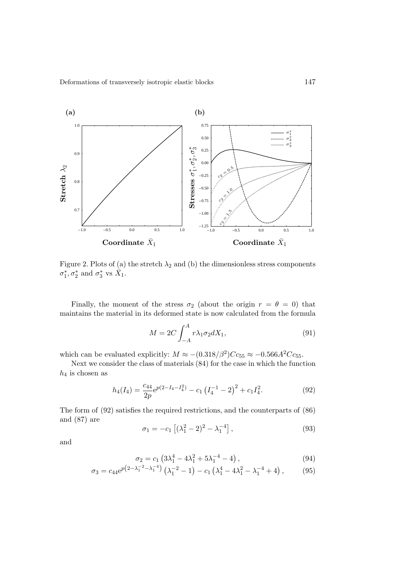

Figure 2. Plots of (a) the stretch  $\lambda_2$  and (b) the dimensionless stress components  $\sigma_1^*, \sigma_2^*$  and  $\sigma_3^*$  vs  $\bar{X}_1$ .

Finally, the moment of the stress  $\sigma_2$  (about the origin  $r = \theta = 0$ ) that maintains the material in its deformed state is now calculated from the formula

$$
M = 2C \int_{-A}^{A} r \lambda_1 \sigma_2 dX_1,\tag{91}
$$

which can be evaluated explicitly:  $M \approx -(0.318/\beta^2)Cc_{55} \approx -0.566A^2Cc_{55}$ .

Next we consider the class of materials (84) for the case in which the function  $h_4$  is chosen as

$$
h_4(I_4) = \frac{c_{44}}{2p} e^{p(2-I_4-I_4^2)} - c_1 \left(I_4^{-1} - 2\right)^2 + c_1 I_4^2. \tag{92}
$$

The form of (92) satisfies the required restrictions, and the counterparts of (86) and (87) are

$$
\sigma_1 = -c_1 \left[ (\lambda_1^2 - 2)^2 - \lambda_1^{-4} \right],\tag{93}
$$

and

$$
\sigma_2 = c_1 \left( 3\lambda_1^4 - 4\lambda_1^2 + 5\lambda_1^{-4} - 4 \right), \tag{94}
$$

$$
\sigma_3 = c_{44} e^{p \left(2 - \lambda_1^{-2} - \lambda_1^{-4}\right)} \left(\lambda_1^{-2} - 1\right) - c_1 \left(\lambda_1^4 - 4\lambda_1^2 - \lambda_1^{-4} + 4\right),\tag{95}
$$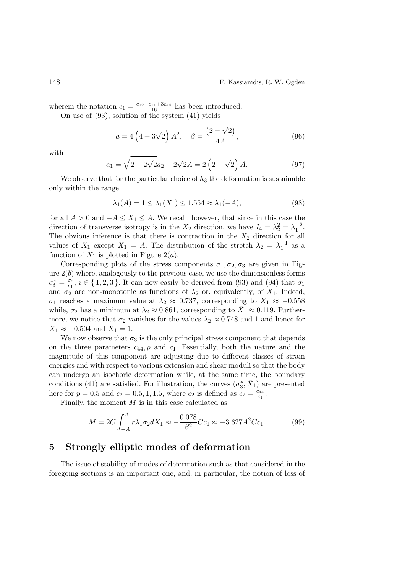#### 148 F. Kassianidis, R. W. Ogden

wherein the notation  $c_1 = \frac{c_{22}-c_{11}+3c_{44}}{16}$  has been introduced.

On use of (93), solution of the system (41) yields

$$
a = 4\left(4 + 3\sqrt{2}\right) A^2, \quad \beta = \frac{(2 - \sqrt{2})}{4A},
$$
 (96)

with

$$
a_1 = \sqrt{2 + 2\sqrt{2}}a_2 - 2\sqrt{2}A = 2\left(2 + \sqrt{2}\right)A. \tag{97}
$$

We observe that for the particular choice of  $h_3$  the deformation is sustainable only within the range

$$
\lambda_1(A) = 1 \le \lambda_1(X_1) \le 1.554 \approx \lambda_1(-A),\tag{98}
$$

for all  $A > 0$  and  $-A \leq X_1 \leq A$ . We recall, however, that since in this case the direction of transverse isotropy is in the  $X_2$  direction, we have  $I_4 = \lambda_2^2 = \lambda_1^{-2}$ . The obvious inference is that there is contraction in the  $X_2$  direction for all values of  $X_1$  except  $X_1 = A$ . The distribution of the stretch  $\lambda_2 = \lambda_1^{-1}$  as a function of  $\bar{X}_1$  is plotted in Figure 2(*a*).

Corresponding plots of the stress components  $\sigma_1, \sigma_2, \sigma_3$  are given in Figure  $2(b)$  where, analogously to the previous case, we use the dimensionless forms  $\sigma_i^* = \frac{\sigma_i}{c_1}$  $\sigma_{i}$ ,  $i \in \{1,2,3\}$ . It can now easily be derived from (93) and (94) that  $\sigma_{1}$ and  $\sigma_2$  are non-monotonic as functions of  $\lambda_2$  or, equivalently, of  $X_1$ . Indeed,  $\sigma_1$  reaches a maximum value at  $\lambda_2 \approx 0.737$ , corresponding to  $\bar{X}_1 \approx -0.558$ while,  $\sigma_2$  has a minimum at  $\lambda_2 \approx 0.861$ , corresponding to  $\bar{X}_1 \approx 0.119$ . Furthermore, we notice that  $\sigma_2$  vanishes for the values  $\lambda_2 \approx 0.748$  and 1 and hence for  $\bar{X}_1 \approx -0.504$  and  $\bar{X}_1 = 1$ .

We now observe that  $\sigma_3$  is the only principal stress component that depends on the three parameters  $c_{44}$ , p and  $c_1$ . Essentially, both the nature and the magnitude of this component are adjusting due to different classes of strain energies and with respect to various extension and shear moduli so that the body can undergo an isochoric deformation while, at the same time, the boundary conditions (41) are satisfied. For illustration, the curves  $(\sigma_3^*, \bar{X}_1)$  are presented here for  $p = 0.5$  and  $c_2 = 0.5, 1, 1.5$ , where  $c_2$  is defined as  $c_2 = \frac{c_{44}}{c_1}$  $\frac{c_{44}}{c_1}.$ 

Finally, the moment  $M$  is in this case calculated as

$$
M = 2C \int_{-A}^{A} r \lambda_1 \sigma_2 dX_1 \approx -\frac{0.078}{\beta^2} C c_1 \approx -3.627 A^2 C c_1. \tag{99}
$$

# 5 Strongly elliptic modes of deformation

The issue of stability of modes of deformation such as that considered in the foregoing sections is an important one, and, in particular, the notion of loss of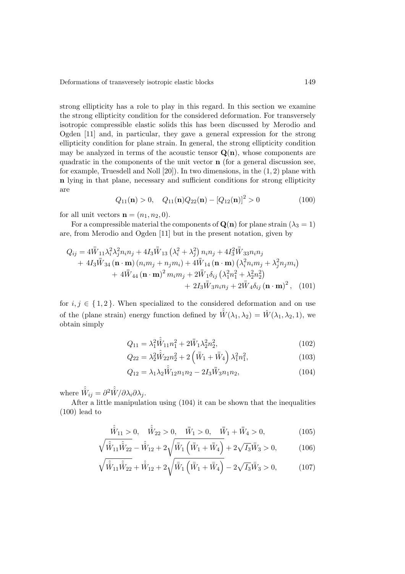strong ellipticity has a role to play in this regard. In this section we examine the strong ellipticity condition for the considered deformation. For transversely isotropic compressible elastic solids this has been discussed by Merodio and Ogden [11] and, in particular, they gave a general expression for the strong ellipticity condition for plane strain. In general, the strong ellipticity condition may be analyzed in terms of the acoustic tensor  $\mathbf{Q}(\mathbf{n})$ , whose components are quadratic in the components of the unit vector  $\bf{n}$  (for a general discussion see, for example, Truesdell and Noll  $[20]$ ). In two dimensions, in the  $(1, 2)$  plane with n lying in that plane, necessary and sufficient conditions for strong ellipticity are

$$
Q_{11}(\mathbf{n}) > 0, \quad Q_{11}(\mathbf{n})Q_{22}(\mathbf{n}) - [Q_{12}(\mathbf{n})]^2 > 0 \tag{100}
$$

for all unit vectors  $\mathbf{n} = (n_1, n_2, 0)$ .

For a compressible material the components of  $\mathbf{Q}(\mathbf{n})$  for plane strain  $(\lambda_3 = 1)$ are, from Merodio and Ogden [11] but in the present notation, given by

$$
Q_{ij} = 4\bar{W}_{11}\lambda_i^2\lambda_j^2n_in_j + 4I_3\bar{W}_{13}\left(\lambda_i^2 + \lambda_j^2\right)n_in_j + 4I_3^2\bar{W}_{33}n_in_j + 4I_3\bar{W}_{34}\left(\mathbf{n}\cdot\mathbf{m}\right)(n_im_j + n_jm_i) + 4\bar{W}_{14}\left(\mathbf{n}\cdot\mathbf{m}\right)\left(\lambda_i^2n_im_j + \lambda_j^2n_jm_i\right) + 4\bar{W}_{44}\left(\mathbf{n}\cdot\mathbf{m}\right)^2m_im_j + 2\bar{W}_{1}\delta_{ij}\left(\lambda_1^2n_1^2 + \lambda_2^2n_2^2\right) + 2I_3\bar{W}_{3}n_in_j + 2\bar{W}_{4}\delta_{ij}\left(\mathbf{n}\cdot\mathbf{m}\right)^2, (101)
$$

for  $i, j \in \{1, 2\}$ . When specialized to the considered deformation and on use of the (plane strain) energy function defined by  $\hat{W}(\lambda_1, \lambda_2) = \hat{W}(\lambda_1, \lambda_2, 1)$ , we obtain simply

$$
Q_{11} = \lambda_1^2 \hat{\hat{W}}_{11} n_1^2 + 2\bar{\bar{W}}_1 \lambda_2^2 n_2^2, \tag{102}
$$

$$
Q_{22} = \lambda_2^2 \hat{W}_{22} n_2^2 + 2 \left( \bar{W}_1 + \bar{W}_4 \right) \lambda_1^2 n_1^2, \tag{103}
$$

$$
Q_{12} = \lambda_1 \lambda_2 \hat{W}_{12} n_1 n_2 - 2I_3 \bar{W}_3 n_1 n_2, \tag{104}
$$

where  $\hat{\hat{W}}_{ij} = \partial^2 \hat{\hat{W}} / \partial \lambda_i \partial \lambda_j$ .

After a little manipulation using (104) it can be shown that the inequalities (100) lead to

$$
\hat{\hat{W}}_{11} > 0, \quad \hat{\hat{W}}_{22} > 0, \quad \bar{\bar{W}}_{1} > 0, \quad \bar{\bar{W}}_{1} + \bar{\bar{W}}_{4} > 0,\tag{105}
$$

$$
\sqrt{\hat{W}_{11}\hat{W}_{22}} - \hat{W}_{12} + 2\sqrt{\bar{W}_{1}\left(\bar{W}_{1} + \bar{W}_{4}\right)} + 2\sqrt{I_{3}}\bar{W}_{3} > 0, \qquad (106)
$$

$$
\sqrt{\hat{\hat{W}}_{11}\hat{\hat{W}}_{22}} + \hat{\hat{W}}_{12} + 2\sqrt{\bar{\hat{W}}_{1}\left(\bar{\hat{W}}_{1} + \bar{\hat{W}}_{4}\right)} - 2\sqrt{I_{3}}\bar{\hat{W}}_{3} > 0, \qquad (107)
$$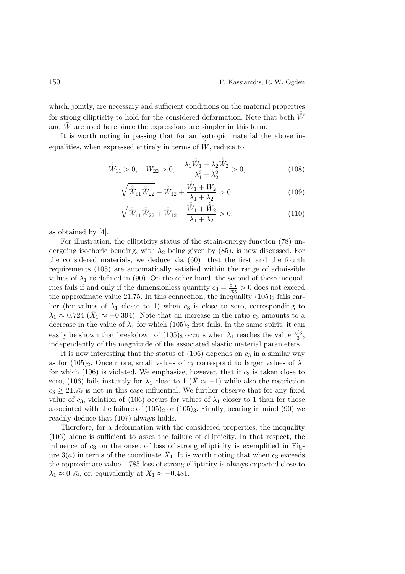which, jointly, are necessary and sufficient conditions on the material properties for strong ellipticity to hold for the considered deformation. Note that both  $\hat{W}$ and  $\bar{W}$  are used here since the expressions are simpler in this form.

It is worth noting in passing that for an isotropic material the above inequalities, when expressed entirely in terms of  $\hat{W}$ , reduce to

$$
\hat{\hat{W}}_{11} > 0, \quad \hat{\hat{W}}_{22} > 0, \quad \frac{\lambda_1 \hat{\hat{W}}_1 - \lambda_2 \hat{\hat{W}}_2}{\lambda_1^2 - \lambda_2^2} > 0,
$$
\n(108)

$$
\sqrt{\hat{W}_{11}\hat{W}_{22}} - \hat{W}_{12} + \frac{\hat{W}_1 + \hat{W}_2}{\lambda_1 + \lambda_2} > 0,
$$
\n(109)

$$
\sqrt{\hat{\hat{W}}_{11}\hat{\hat{W}}_{22}} + \hat{\hat{W}}_{12} - \frac{\hat{\hat{W}}_1 + \hat{\hat{W}}_2}{\lambda_1 + \lambda_2} > 0, \tag{110}
$$

as obtained by [4].

For illustration, the ellipticity status of the strain-energy function (78) undergoing isochoric bending, with  $h_2$  being given by  $(85)$ , is now discussed. For the considered materials, we deduce via  $(60)_1$  that the first and the fourth requirements (105) are automatically satisfied within the range of admissible values of  $\lambda_1$  as defined in (90). On the other hand, the second of these inequalities fails if and only if the dimensionless quantity  $c_3 = \frac{c_{11}}{c_{55}}$  $\frac{c_{11}}{c_{55}} > 0$  does not exceed the approximate value 21.75. In this connection, the inequality  $(105)_2$  fails earlier (for values of  $\lambda_1$  closer to 1) when  $c_3$  is close to zero, corresponding to  $\lambda_1 \approx 0.724$  ( $\bar{X}_1 \approx -0.394$ ). Note that an increase in the ratio  $c_3$  amounts to a decrease in the value of  $\lambda_1$  for which  $(105)_2$  first fails. In the same spirit, it can easily be shown that breakdown of  $(105)_3$  occurs when  $\lambda_1$  reaches the value  $\frac{\sqrt{3}}{3}$  $\frac{\sqrt{3}}{3}$ , independently of the magnitude of the associated elastic material parameters.

It is now interesting that the status of  $(106)$  depends on  $c_3$  in a similar way as for  $(105)_2$ . Once more, small values of  $c_3$  correspond to larger values of  $\lambda_1$ for which (106) is violated. We emphasize, however, that if  $c_3$  is taken close to zero, (106) fails instantly for  $\lambda_1$  close to 1 ( $\bar{X} \approx -1$ ) while also the restriction  $c_3 \geq 21.75$  is not in this case influential. We further observe that for any fixed value of  $c_3$ , violation of (106) occurs for values of  $\lambda_1$  closer to 1 than for those associated with the failure of  $(105)_2$  or  $(105)_3$ . Finally, bearing in mind (90) we readily deduce that (107) always holds.

Therefore, for a deformation with the considered properties, the inequality (106) alone is sufficient to asses the failure of ellipticity. In that respect, the influence of  $c_3$  on the onset of loss of strong ellipticity is exemplified in Figure  $3(a)$  in terms of the coordinate  $\bar{X}_1$ . It is worth noting that when  $c_3$  exceeds the approximate value 1.785 loss of strong ellipticity is always expected close to  $\lambda_1 \approx 0.75$ , or, equivalently at  $\bar{X}_1 \approx -0.481$ .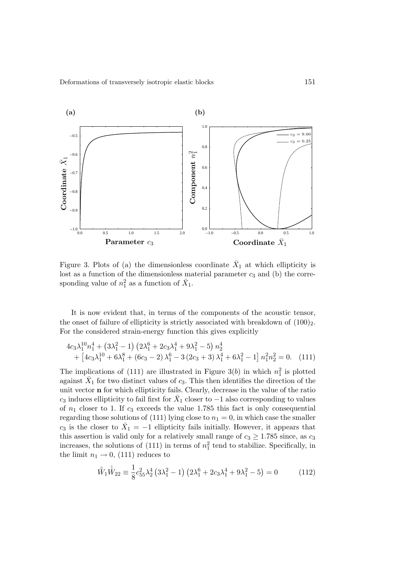

Figure 3. Plots of (a) the dimensionless coordinate  $\bar{X}_1$  at which ellipticity is lost as a function of the dimensionless material parameter  $c_3$  and (b) the corresponding value of  $n_1^2$  as a function of  $\bar{X}_1$ .

It is now evident that, in terms of the components of the acoustic tensor, the onset of failure of ellipticity is strictly associated with breakdown of  $(100)_2$ . For the considered strain-energy function this gives explicitly

$$
4c_3\lambda_1^{10}n_1^4 + (3\lambda_1^2 - 1)(2\lambda_1^6 + 2c_3\lambda_1^4 + 9\lambda_1^2 - 5)n_2^4
$$
  
+ 
$$
[4c_3\lambda_1^{10} + 6\lambda_1^8 + (6c_3 - 2)\lambda_1^6 - 3(2c_3 + 3)\lambda_1^4 + 6\lambda_1^2 - 1]n_1^2n_2^2 = 0.
$$
 (111)

The implications of (111) are illustrated in Figure 3(b) in which  $n_1^2$  is plotted against  $\bar{X}_1$  for two distinct values of  $c_3$ . This then identifies the direction of the unit vector n for which ellipticity fails. Clearly, decrease in the value of the ratio  $c_3$  induces ellipticity to fail first for  $\bar{X}_1$  closer to  $-1$  also corresponding to values of  $n_1$  closer to 1. If  $c_3$  exceeds the value 1.785 this fact is only consequential regarding those solutions of (111) lying close to  $n_1 = 0$ , in which case the smaller  $c_3$  is the closer to  $\bar{X}_1 = -1$  ellipticity fails initially. However, it appears that this assertion is valid only for a relatively small range of  $c_3 \geq 1.785$  since, as  $c_3$ increases, the solutions of  $(111)$  in terms of  $n_1^2$  tend to stabilize. Specifically, in the limit  $n_1 \rightarrow 0$ , (111) reduces to

$$
\bar{\bar{W}}_1 \hat{\hat{W}}_{22} \equiv \frac{1}{8} c_{55}^2 \lambda_2^4 \left( 3\lambda_1^2 - 1 \right) \left( 2\lambda_1^6 + 2c_3\lambda_1^4 + 9\lambda_1^2 - 5 \right) = 0 \tag{112}
$$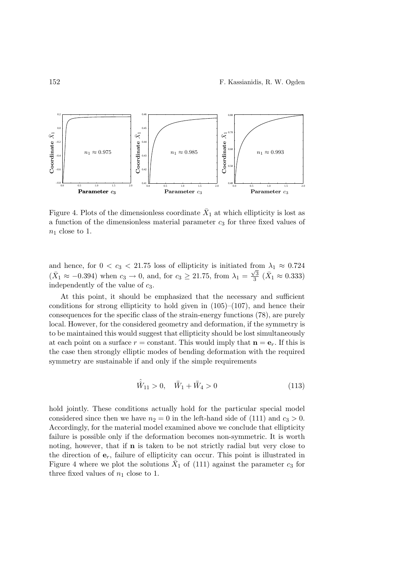

Figure 4. Plots of the dimensionless coordinate  $\bar{X}_1$  at which ellipticity is lost as a function of the dimensionless material parameter  $c_3$  for three fixed values of  $n_1$  close to 1.

and hence, for  $0 < c_3 < 21.75$  loss of ellipticity is initiated from  $\lambda_1 \approx 0.724$  $(\bar{X}_1 \approx -0.394)$  when  $c_3 \to 0$ , and, for  $c_3 \ge 21.75$ , from  $\lambda_1 = \frac{\sqrt{3}}{3}$  $\frac{\sqrt{3}}{3}$  ( $\bar{X}_1 \approx 0.333$ ) independently of the value of  $c_3$ .

At this point, it should be emphasized that the necessary and sufficient conditions for strong ellipticity to hold given in  $(105)–(107)$ , and hence their consequences for the specific class of the strain-energy functions (78), are purely local. However, for the considered geometry and deformation, if the symmetry is to be maintained this would suggest that ellipticity should be lost simultaneously at each point on a surface  $r = constant$ . This would imply that  $\mathbf{n} = \mathbf{e}_r$ . If this is the case then strongly elliptic modes of bending deformation with the required symmetry are sustainable if and only if the simple requirements

$$
\hat{\hat{W}}_{11} > 0, \quad \bar{\bar{W}}_1 + \bar{\bar{W}}_4 > 0 \tag{113}
$$

hold jointly. These conditions actually hold for the particular special model considered since then we have  $n_2 = 0$  in the left-hand side of (111) and  $c_3 > 0$ . Accordingly, for the material model examined above we conclude that ellipticity failure is possible only if the deformation becomes non-symmetric. It is worth noting, however, that if  **is taken to be not strictly radial but very close to** the direction of  $e_r$ , failure of ellipticity can occur. This point is illustrated in Figure 4 where we plot the solutions  $\bar{X}_1$  of (111) against the parameter  $c_3$  for three fixed values of  $n_1$  close to 1.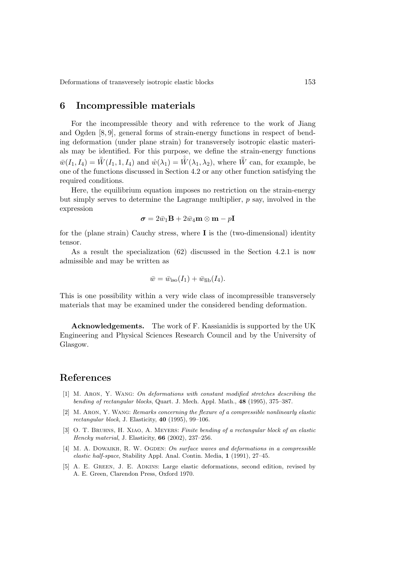## 6 Incompressible materials

For the incompressible theory and with reference to the work of Jiang and Ogden [8, 9], general forms of strain-energy functions in respect of bending deformation (under plane strain) for transversely isotropic elastic materials may be identified. For this purpose, we define the strain-energy functions  $\bar{w}(I_1, I_4) = \bar{\bar{W}}(I_1, 1, I_4)$  and  $\hat{w}(\lambda_1) = \hat{W}(\lambda_1, \lambda_2)$ , where  $\bar{\bar{W}}$  can, for example, be one of the functions discussed in Section 4.2 or any other function satisfying the required conditions.

Here, the equilibrium equation imposes no restriction on the strain-energy but simply serves to determine the Lagrange multiplier,  $p$  say, involved in the expression

$$
\boldsymbol{\sigma}=2\bar{w}_1\mathbf{B}+2\bar{w}_4\mathbf{m}\otimes\mathbf{m}-p\mathbf{I}
$$

for the (plane strain) Cauchy stress, where  $\bf{I}$  is the (two-dimensional) identity tensor.

As a result the specialization (62) discussed in the Section 4.2.1 is now admissible and may be written as

$$
\bar{w} = \bar{w}_{\text{iso}}(I_1) + \bar{w}_{\text{fib}}(I_4).
$$

This is one possibility within a very wide class of incompressible transversely materials that may be examined under the considered bending deformation.

Acknowledgements. The work of F. Kassianidis is supported by the UK Engineering and Physical Sciences Research Council and by the University of Glasgow.

# References

- [1] M. Aron, Y. Wang: On deformations with constant modified stretches describing the bending of rectangular blocks, Quart. J. Mech. Appl. Math., 48 (1995), 375–387.
- [2] M. Aron, Y. Wang: Remarks concerning the flexure of a compressible nonlinearly elastic rectangular block, J. Elasticity, 40 (1995), 99–106.
- [3] O. T. BRUHNS, H. XIAO, A. MEYERS: Finite bending of a rectangular block of an elastic Hencky material, J. Elasticity, 66 (2002), 237–256.
- [4] M. A. DOWAIKH, R. W. OGDEN: On surface waves and deformations in a compressible elastic half-space, Stability Appl. Anal. Contin. Media, 1 (1991), 27–45.
- [5] A. E. GREEN, J. E. ADKINS: Large elastic deformations, second edition, revised by A. E. Green, Clarendon Press, Oxford 1970.